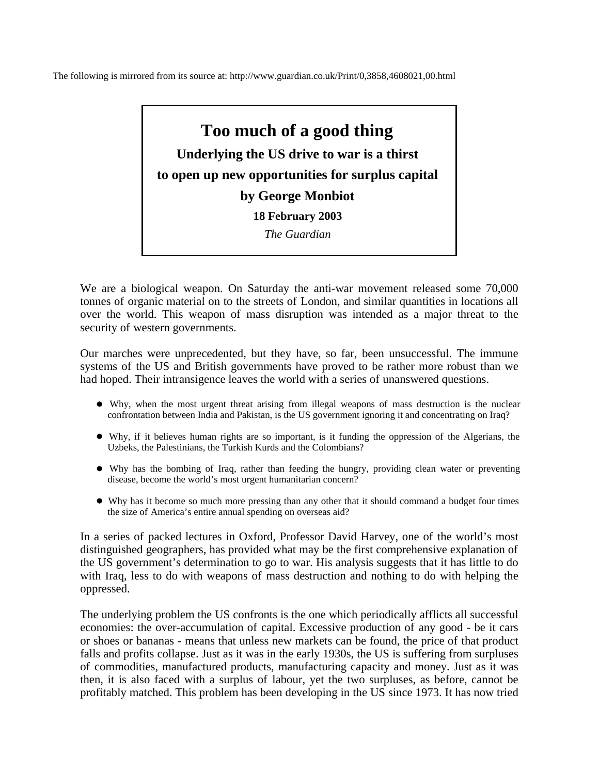The following is mirrored from its source at: http://www.guardian.co.uk/Print/0,3858,4608021,00.html

## **Too much of a good thing**

**Underlying the US drive to war is a thirst to open up new opportunities for surplus capital by George Monbiot 18 February 2003** 

*The Guardian* 

We are a biological weapon. On Saturday the anti-war movement released some 70,000 tonnes of organic material on to the streets of London, and similar quantities in locations all over the world. This weapon of mass disruption was intended as a major threat to the security of western governments.

Our marches were unprecedented, but they have, so far, been unsuccessful. The immune systems of the US and British governments have proved to be rather more robust than we had hoped. Their intransigence leaves the world with a series of unanswered questions.

- Why, when the most urgent threat arising from illegal weapons of mass destruction is the nuclear confrontation between India and Pakistan, is the US government ignoring it and concentrating on Iraq?
- Why, if it believes human rights are so important, is it funding the oppression of the Algerians, the Uzbeks, the Palestinians, the Turkish Kurds and the Colombians?
- Why has the bombing of Iraq, rather than feeding the hungry, providing clean water or preventing disease, become the world's most urgent humanitarian concern?
- Why has it become so much more pressing than any other that it should command a budget four times the size of America's entire annual spending on overseas aid?

In a series of packed lectures in Oxford, Professor David Harvey, one of the world's most distinguished geographers, has provided what may be the first comprehensive explanation of the US government's determination to go to war. His analysis suggests that it has little to do with Iraq, less to do with weapons of mass destruction and nothing to do with helping the oppressed.

The underlying problem the US confronts is the one which periodically afflicts all successful economies: the over-accumulation of capital. Excessive production of any good - be it cars or shoes or bananas - means that unless new markets can be found, the price of that product falls and profits collapse. Just as it was in the early 1930s, the US is suffering from surpluses of commodities, manufactured products, manufacturing capacity and money. Just as it was then, it is also faced with a surplus of labour, yet the two surpluses, as before, cannot be profitably matched. This problem has been developing in the US since 1973. It has now tried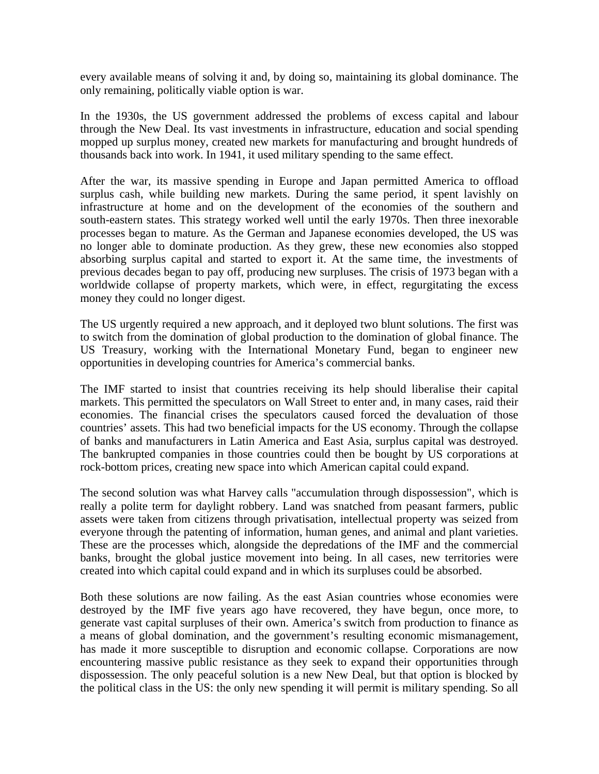every available means of solving it and, by doing so, maintaining its global dominance. The only remaining, politically viable option is war.

In the 1930s, the US government addressed the problems of excess capital and labour through the New Deal. Its vast investments in infrastructure, education and social spending mopped up surplus money, created new markets for manufacturing and brought hundreds of thousands back into work. In 1941, it used military spending to the same effect.

After the war, its massive spending in Europe and Japan permitted America to offload surplus cash, while building new markets. During the same period, it spent lavishly on infrastructure at home and on the development of the economies of the southern and south-eastern states. This strategy worked well until the early 1970s. Then three inexorable processes began to mature. As the German and Japanese economies developed, the US was no longer able to dominate production. As they grew, these new economies also stopped absorbing surplus capital and started to export it. At the same time, the investments of previous decades began to pay off, producing new surpluses. The crisis of 1973 began with a worldwide collapse of property markets, which were, in effect, regurgitating the excess money they could no longer digest.

The US urgently required a new approach, and it deployed two blunt solutions. The first was to switch from the domination of global production to the domination of global finance. The US Treasury, working with the International Monetary Fund, began to engineer new opportunities in developing countries for America's commercial banks.

The IMF started to insist that countries receiving its help should liberalise their capital markets. This permitted the speculators on Wall Street to enter and, in many cases, raid their economies. The financial crises the speculators caused forced the devaluation of those countries' assets. This had two beneficial impacts for the US economy. Through the collapse of banks and manufacturers in Latin America and East Asia, surplus capital was destroyed. The bankrupted companies in those countries could then be bought by US corporations at rock-bottom prices, creating new space into which American capital could expand.

The second solution was what Harvey calls "accumulation through dispossession", which is really a polite term for daylight robbery. Land was snatched from peasant farmers, public assets were taken from citizens through privatisation, intellectual property was seized from everyone through the patenting of information, human genes, and animal and plant varieties. These are the processes which, alongside the depredations of the IMF and the commercial banks, brought the global justice movement into being. In all cases, new territories were created into which capital could expand and in which its surpluses could be absorbed.

Both these solutions are now failing. As the east Asian countries whose economies were destroyed by the IMF five years ago have recovered, they have begun, once more, to generate vast capital surpluses of their own. America's switch from production to finance as a means of global domination, and the government's resulting economic mismanagement, has made it more susceptible to disruption and economic collapse. Corporations are now encountering massive public resistance as they seek to expand their opportunities through dispossession. The only peaceful solution is a new New Deal, but that option is blocked by the political class in the US: the only new spending it will permit is military spending. So all